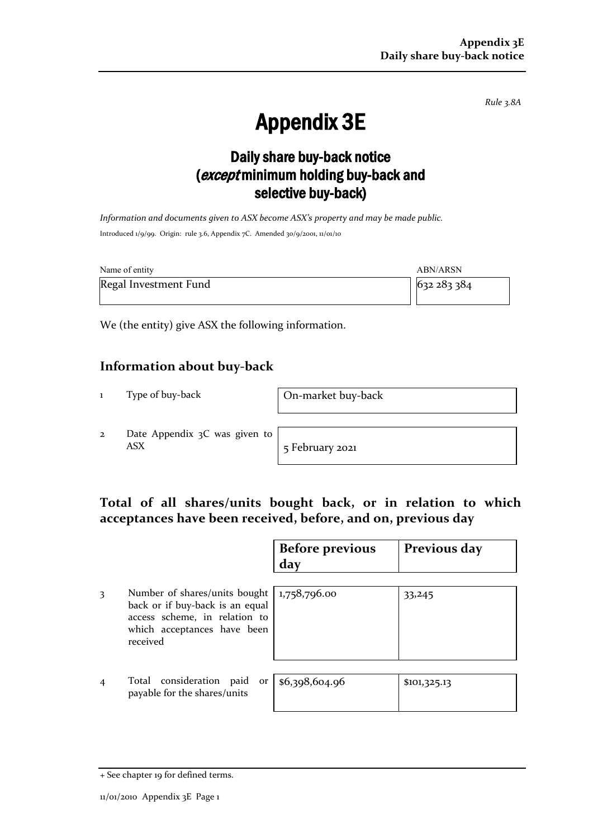*Rule 3.8A*

# Appendix 3E

## Daily share buy-back notice (except minimum holding buy-back and selective buy-back)

*Information and documents given to ASX become ASX's property and may be made public.* Introduced 1/9/99. Origin: rule 3.6, Appendix 7C. Amended 30/9/2001, 11/01/10

| Name of entity        | ABN/ARSN  |
|-----------------------|-----------|
| Regal Investment Fund | 632283384 |

We (the entity) give ASX the following information.

### **Information about buy-back**

1 Type of buy-back On-market buy-back

2 Date Appendix 3C was given to ASX 5 February 2021

### **Total of all shares/units bought back, or in relation to which acceptances have been received, before, and on, previous day**

|                |                                                                                                                                              | <b>Before previous</b><br>day | Previous day |
|----------------|----------------------------------------------------------------------------------------------------------------------------------------------|-------------------------------|--------------|
| 3              | Number of shares/units bought<br>back or if buy-back is an equal<br>access scheme, in relation to<br>which acceptances have been<br>received | 1,758,796.00                  | 33,245       |
| $\overline{4}$ | Total consideration paid<br>or<br>payable for the shares/units                                                                               | \$6,398,604.96                | \$101,325.13 |

<sup>+</sup> See chapter 19 for defined terms.